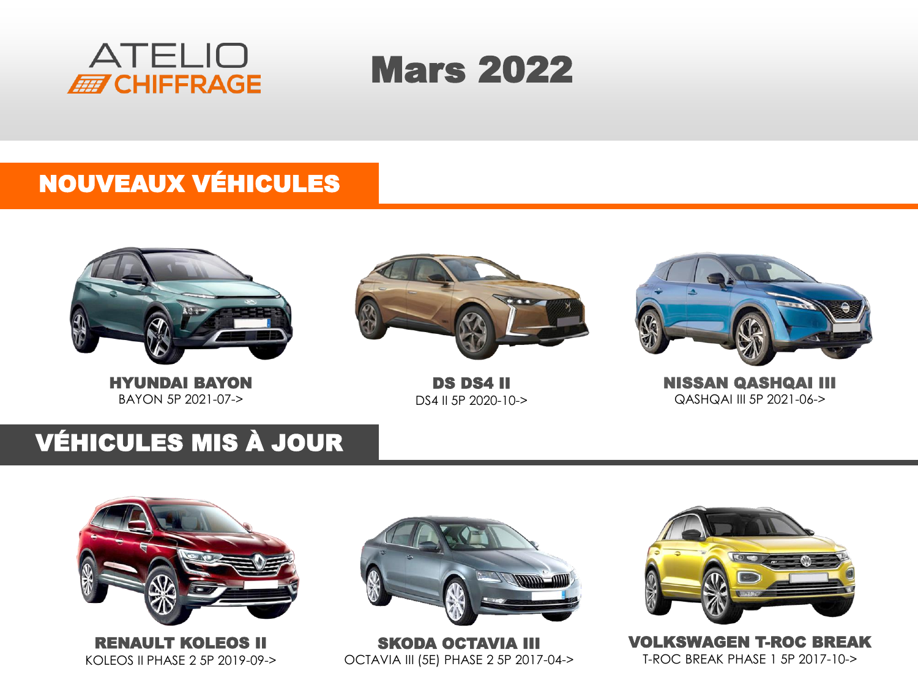



### NOUVEAUX VÉHICULES



HYUNDAI BAYON BAYON 5P 2021-07->



DS DS4 II DS4 II 5P 2020-10->



NISSAN QASHQAI III QASHQAI III 5P 2021-06->

## VÉHICULES MIS À JOUR





SKODA OCTAVIA III OCTAVIA III (5E) PHASE 2 5P 2017-04->



VOLKSWAGEN T-ROC BREAK T-ROC BREAK PHASE 1 5P 2017-10->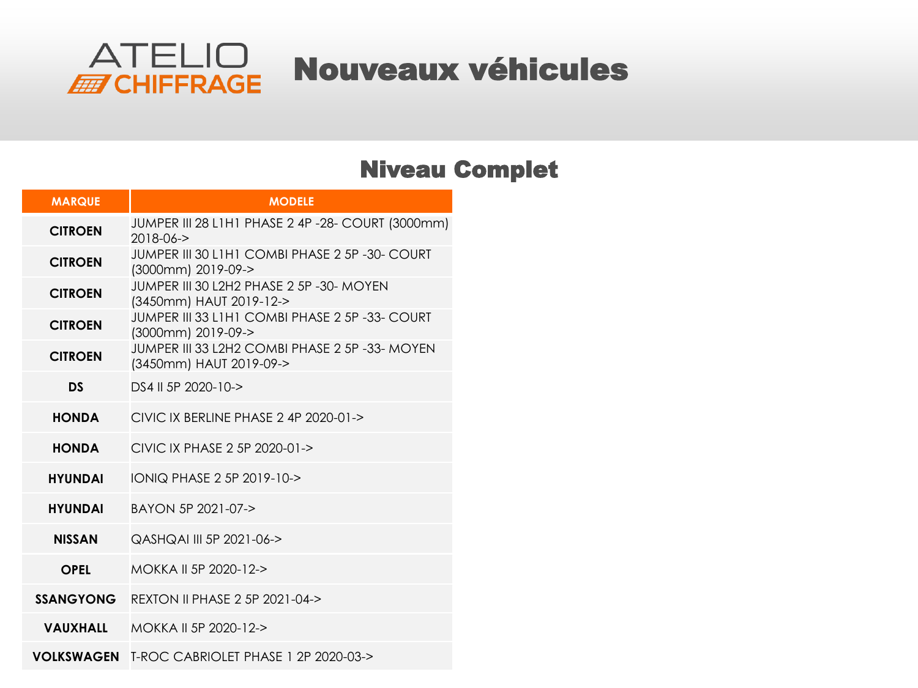

#### Niveau Complet

| <b>MARQUE</b>    | <b>MODELE</b>                                                             |  |  |  |
|------------------|---------------------------------------------------------------------------|--|--|--|
| <b>CITROEN</b>   | JUMPER III 28 L1H1 PHASE 2 4P -28- COURT (3000mm)<br>$2018 - 06 - 5$      |  |  |  |
| <b>CITROEN</b>   | JUMPER III 30 L1H1 COMBI PHASE 2 5P -30- COURT<br>(3000mm) 2019-09->      |  |  |  |
| <b>CITROEN</b>   | JUMPER III 30 L2H2 PHASE 2 5P -30- MOYEN<br>(3450mm) HAUT 2019-12->       |  |  |  |
| <b>CITROEN</b>   | JUMPER III 33 L1H1 COMBI PHASE 2 5P -33- COURT<br>(3000mm) 2019-09->      |  |  |  |
| <b>CITROEN</b>   | JUMPER III 33 L2H2 COMBI PHASE 2 5P -33- MOYEN<br>(3450mm) HAUT 2019-09-> |  |  |  |
| DS               | DS4 II 5P 2020-10->                                                       |  |  |  |
| <b>HONDA</b>     | CIVIC IX BERLINE PHASE $2$ 4P $2020-01\rightarrow$                        |  |  |  |
| <b>HONDA</b>     | CIVIC IX PHASE 2 5P 2020-01->                                             |  |  |  |
| <b>HYUNDAI</b>   | IONIQ PHASE 2 5P 2019-10->                                                |  |  |  |
| <b>HYUNDAI</b>   | BAYON 5P 2021-07->                                                        |  |  |  |
| <b>NISSAN</b>    | QASHQAI III 5P 2021-06->                                                  |  |  |  |
| OPEL             | MOKKA II 5P 2020-12->                                                     |  |  |  |
| <b>SSANGYONG</b> | <b>REXTON II PHASE 2 5P 2021-04-&gt;</b>                                  |  |  |  |
| <b>VAUXHALL</b>  | MOKKA II 5P 2020-12->                                                     |  |  |  |
| VOLKSWAGEN       | T-ROC CABRIOLET PHASE 1 2P 2020-03->                                      |  |  |  |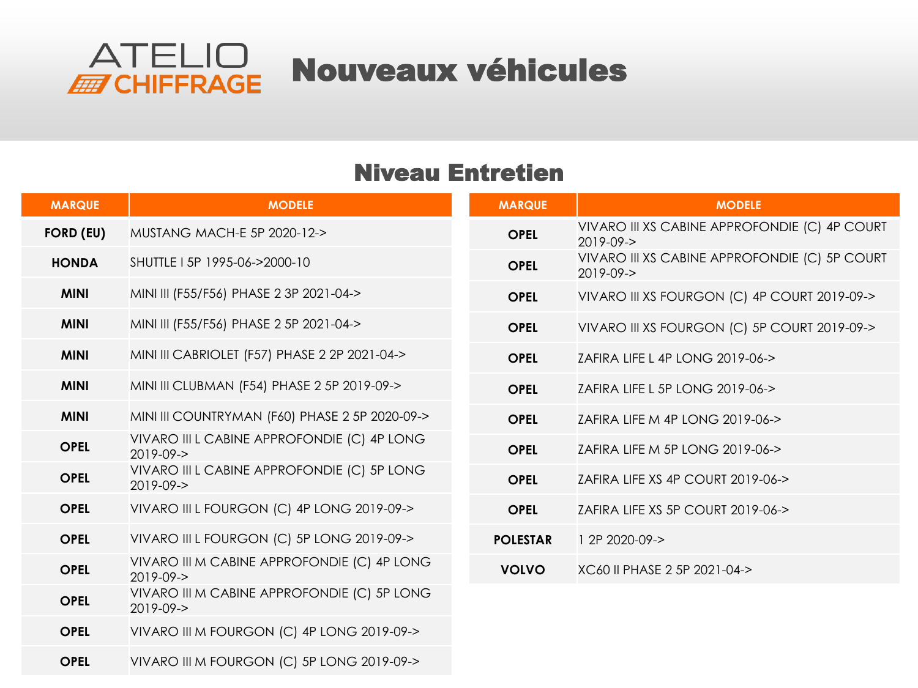

#### Niveau Entretien

| <b>MARQUE</b>    | <b>MODELE</b>                                                  | <b>MARQUE</b>   | <b>MODELE</b>                                                    |
|------------------|----------------------------------------------------------------|-----------------|------------------------------------------------------------------|
| <b>FORD (EU)</b> | MUSTANG MACH-E 5P 2020-12->                                    | <b>OPEL</b>     | VIVARO III XS CABINE APPROFONDIE (C) 4P COURT<br>$2019 - 09 - 5$ |
| <b>HONDA</b>     | SHUTTLE I 5P 1995-06->2000-10                                  | <b>OPEL</b>     | VIVARO III XS CABINE APPROFONDIE (C) 5P COURT<br>$2019 - 09 - 5$ |
| <b>MINI</b>      | MINI III (F55/F56) PHASE 2 3P 2021-04->                        | <b>OPEL</b>     | VIVARO III XS FOURGON (C) 4P COURT 2019-09->                     |
| <b>MINI</b>      | MINI III (F55/F56) PHASE 2 5P 2021-04->                        | <b>OPEL</b>     | VIVARO III XS FOURGON (C) 5P COURT 2019-09->                     |
| <b>MINI</b>      | MINI III CABRIOLET (F57) PHASE 2 2P 2021-04->                  | <b>OPEL</b>     | ZAFIRA LIFE L 4P LONG 2019-06->                                  |
| <b>MINI</b>      | MINI III CLUBMAN (F54) PHASE 2 5P 2019-09->                    | <b>OPEL</b>     | ZAFIRA LIFE L 5P LONG 2019-06->                                  |
| <b>MINI</b>      | MINI III COUNTRYMAN (F60) PHASE 2 5P 2020-09->                 | <b>OPEL</b>     | ZAFIRA LIFE M 4P LONG 2019-06->                                  |
| <b>OPEL</b>      | VIVARO III L CABINE APPROFONDIE (C) 4P LONG<br>$2019 - 09 - 5$ | <b>OPEL</b>     | ZAFIRA LIFE M 5P LONG 2019-06->                                  |
| <b>OPEL</b>      | VIVARO III L CABINE APPROFONDIE (C) 5P LONG<br>$2019 - 09 - 5$ | <b>OPEL</b>     | ZAFIRA LIFE XS 4P COURT 2019-06->                                |
| <b>OPEL</b>      | VIVARO III L FOURGON (C) 4P LONG 2019-09->                     | <b>OPEL</b>     | ZAFIRA LIFE XS 5P COURT 2019-06->                                |
| <b>OPEL</b>      | VIVARO III L FOURGON (C) 5P LONG 2019-09->                     | <b>POLESTAR</b> | 1 2P 2020-09->                                                   |
| <b>OPEL</b>      | VIVARO III M CABINE APPROFONDIE (C) 4P LONG<br>$2019 - 09 - 5$ | <b>VOLVO</b>    | XC60 II PHASE 2 5P 2021-04->                                     |
| <b>OPEL</b>      | VIVARO III M CABINE APPROFONDIE (C) 5P LONG<br>$2019 - 09 - 5$ |                 |                                                                  |
| <b>OPEL</b>      | VIVARO III M FOURGON (C) 4P LONG 2019-09->                     |                 |                                                                  |
| <b>OPEL</b>      | VIVARO III M FOURGON (C) 5P LONG 2019-09->                     |                 |                                                                  |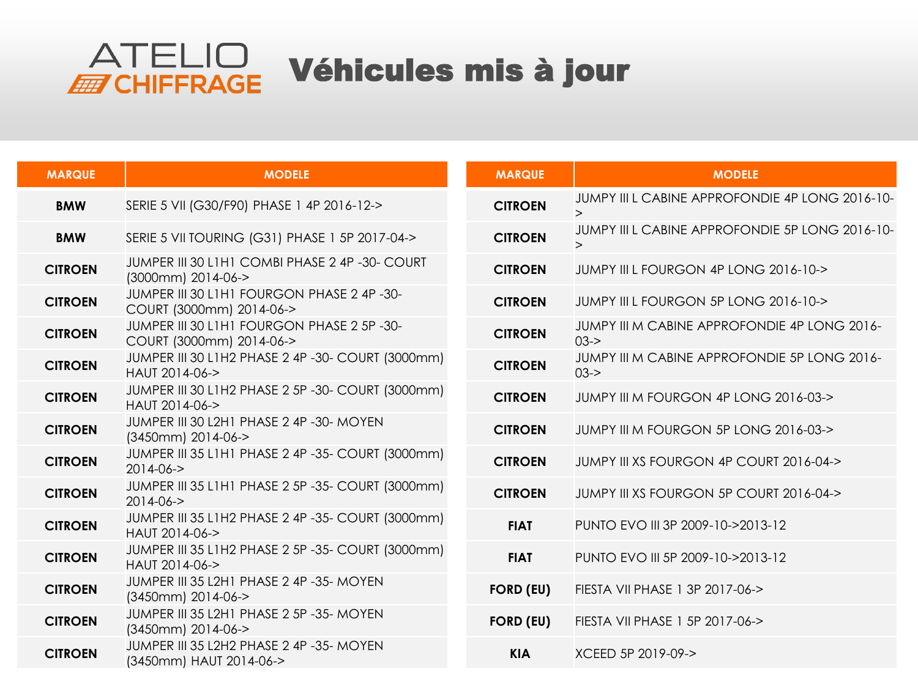# ATELIO Véhicules mis à jour

| <b>MARQUE</b>  | <b>MODELE</b>                                                          |
|----------------|------------------------------------------------------------------------|
| <b>BMW</b>     | SERIE 5 VII (G30/F90) PHASE 1 4P 2016-12->                             |
| <b>BMW</b>     | SERIE 5 VII TOURING (G31) PHASE 1 5P 2017-04->                         |
| <b>CITROEN</b> | JUMPER III 30 L1H1 COMBI PHASE 2 4P -30- COURT<br>(3000mm) 2014-06->   |
| <b>CITROEN</b> | JUMPER III 30 L1H1 FOURGON PHASE 2 4P -30-<br>COURT (3000mm) 2014-06-> |
| <b>CITROEN</b> | JUMPER III 30 L1H1 FOURGON PHASE 2 5P-30-<br>COURT (3000mm) 2014-06->  |
| <b>CITROEN</b> | JUMPER III 30 L1H2 PHASE 2 4P -30- COURT (3000mm)<br>HAUT 2014-06->    |
| <b>CITROEN</b> | JUMPER III 30 L1H2 PHASE 2 5P -30- COURT (3000mm)<br>HAUT 2014-06->    |
| <b>CITROEN</b> | JUMPER III 30 L2H1 PHASE 2 4P -30- MOYEN<br>(3450mm) 2014-06->         |
| <b>CITROEN</b> | JUMPER III 35 L1H1 PHASE 2 4P -35- COURT (3000mm)<br>$2014 - 06 - 5$   |
| <b>CITROEN</b> | JUMPER III 35 L1H1 PHASE 2 5P -35- COURT (3000mm)<br>$2014 - 06 - 5$   |
| <b>CITROEN</b> | JUMPER III 35 L1H2 PHASE 2 4P -35- COURT (3000mm)<br>HAUT 2014-06->    |
| <b>CITROEN</b> | JUMPER III 35 L1H2 PHASE 2 5P -35- COURT (3000mm)<br>HAUT 2014-06->    |
| <b>CITROEN</b> | JUMPER III 35 L2H1 PHASE 2 4P -35- MOYEN<br>(3450mm) 2014-06->         |
| <b>CITROEN</b> | JUMPER III 35 L2H1 PHASE 2 5P -35- MOYEN<br>(3450mm) 2014-06->         |
| <b>CITROEN</b> | JUMPER III 35 L2H2 PHASE 2 4P -35- MOYEN<br>(3450mm) HAUT 2014-06->    |

| <b>MARQUE</b>    | <b>MODELE</b>                                               |
|------------------|-------------------------------------------------------------|
| <b>CITROEN</b>   | JUMPY III I CABINE APPROFONDIE 4P LONG 2016-10-<br>$\geq$   |
| <b>CITROEN</b>   | JUMPY III L CABINE APPROFONDIE 5P LONG 2016-10-<br>$\rm{>}$ |
| <b>CITROEN</b>   | JUMPY III L FOURGON 4P LONG 2016-10->                       |
| <b>CITROEN</b>   | JUMPY III L FOURGON 5P LONG 2016-10->                       |
| <b>CITROEN</b>   | JUMPY III M CABINE APPROFONDIE 4P LONG 2016-<br>$0.3 - 5$   |
| <b>CITROEN</b>   | JUMPY III M CABINE APPROFONDIE 5P LONG 2016-<br>$0.3 - >$   |
| <b>CITROEN</b>   | JUMPY III M FOURGON 4P LONG 2016-03->                       |
| <b>CITROEN</b>   | JUMPY III M FOURGON 5P LONG 2016-03->                       |
| <b>CITROEN</b>   | JUMPY III XS FOURGON 4P COURT 2016-04->                     |
| <b>CITROEN</b>   | JUMPY III XS FOURGON 5P COURT 2016-04->                     |
| <b>FIAT</b>      | PUNTO EVO III 3P 2009-10->2013-12                           |
| <b>FIAT</b>      | PUNTO FVO III 5P 2009-10->2013-12                           |
| <b>FORD (EU)</b> | FIESTA VII PHASE 1 3P 2017-06->                             |
| <b>FORD (EU)</b> | FIFSTA VII PHASE 1 5P 2017-06->                             |
| <b>KIA</b>       | XCFFD 5P 2019-09->                                          |